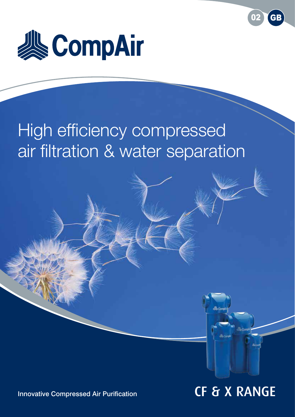

# High efficiency compressed air filtration & water separation



02 GB

Innovative Compressed Air Purification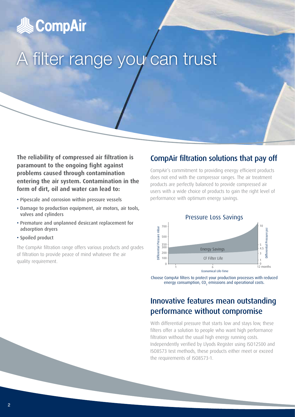

# A filter range you can trust

**The reliability of compressed air filtration is paramount to the ongoing fight against problems caused through contamination entering the air system. Contamination in the form of dirt, oil and water can lead to:**

- Pipescale and corrosion within pressure vessels
- Damage to production equipment, air motors, air tools, valves and cylinders
- Premature and unplanned desiccant replacement for adsorption dryers
- Spoiled product

The CompAir filtration range offers various products and grades of filtration to provide peace of mind whatever the air quality requirement.

# CompAir filtration solutions that pay off

CompAir's commitment to providing energy efficient products does not end with the compressor ranges. The air treatment products are perfectly balanced to provide compressed air users with a wide choice of products to gain the right level of performance with optimum energy savings.



Choose CompAir filters to protect your production processes with reduced energy consumption,  $CO<sub>2</sub>$  emissions and operational costs.

# Innovative features mean outstanding performance without compromise

With differential pressure that starts low and stays low, these filters offer a solution to people who want high performance filtration without the usual high energy running costs. Independently verified by Llyods Register using ISO12500 and ISO8573 test methods, these products either meet or exceed the requirements of ISO8573-1.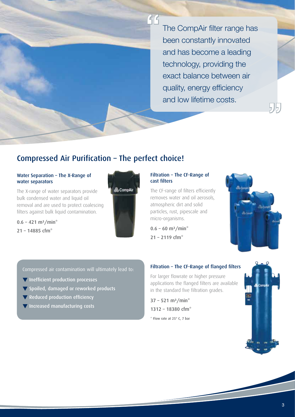The CompAir filter range has been constantly innovated and has become a leading technology, providing the exact balance between air quality, energy efficiency and low lifetime costs.

# Compressed Air Purification – The perfect choice!

### Water Separation – The X-Range of water separators

The X-range of water separators provide bulk condensed water and liquid oil removal and are used to protect coalescing filters against bulk liquid contamination.

 $0.6 - 421$  m<sup>3</sup>/min<sup>\*</sup>  $21 - 14885$  cfm<sup>\*</sup>



## Filtration – The CF-Range of cast filters

The CF-range of filters efficiently removes water and oil aerosols, atmospheric dirt and solid particles, rust, pipescale and micro-organisms.

 $0.6 - 60$  m<sup>3</sup>/min<sup>\*</sup>  $21 - 2119$  cfm<sup>\*</sup>

 $\mathcal{G}$ 



 $\frac{1}{2}$ 

Compressed air contamination will ultimately lead to:

- $\blacktriangledown$  Inefficient production processes
- **V** Spoiled, damaged or reworked products
- $\blacktriangledown$  Reduced production efficiency
- $\blacktriangledown$  Increased manufacturing costs

## Filtration – The CF-Range of flanged filters

For larger flowrate or higher pressure applications the flanged filters are available in the standard five filtration grades.

 $37 - 521$  m<sup>3</sup>/min<sup>\*</sup> 1312 – 18380 cfm\* \* Flow rate at 25° C, 7 bar

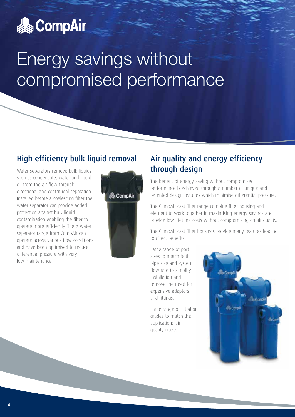

# Energy savings without compromised performance

# High efficiency bulk liquid removal

Water separators remove bulk liquids such as condensate, water and liquid oil from the air flow through directional and centrifugal separation. Installed before a coalescing filter the water separator can provide added protection against bulk liquid contamination enabling the filter to operate more efficiently. The X water separator range from CompAir can operate across various flow conditions and have been optimised to reduce differential pressure with very low maintenance.



# Air quality and energy efficiency through design

The benefit of energy saving without compromised performance is achieved through a number of unique and patented design features which minimise differential pressure.

The CompAir cast filter range combine filter housing and element to work together in maximising energy savings and provide low lifetime costs without compromising on air quality.

The CompAir cast filter housings provide many features leading to direct benefits.

Large range of port sizes to match both pipe size and system flow rate to simplify installation and remove the need for expensive adaptors and fittings.

Large range of filtration grades to match the applications air quality needs.

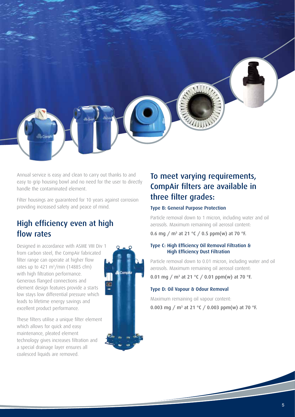Annual service is easy and clean to carry out thanks to and easy to grip housing bowl and no need for the user to directly handle the contaminated element.

Filter housings are guaranteed for 10 years against corrosion providing increased safety and peace of mind.

# High efficiency even at high flow rates

Designed in accordance with ASME VIII Div 1 from carbon steel, the CompAir fabricated filter range can operate at higher flow rates up to 421 m<sup>3</sup>/min (14885 cfm) with high filtration performance. Generous flanged connections and element design features provide a starts low stays low differential pressure which leads to lifetime energy savings and excellent product performance.

These filters utilise a unique filter element which allows for quick and easy maintenance, pleated element technology gives increases filtration and a special drainage layer ensures all coalesced liquids are removed.



# To meet varying requirements, CompAir filters are available in three filter grades:

## Type B: General Purpose Protection

Particle removal down to 1 micron, including water and oil aerosols. Maximum remaining oil aerosol content:

0.6 mg / m<sup>3</sup> at 21 °C / 0.5 ppm(w) at 70 °F.

## Type C: High Efficiency Oil Removal Filtration & High Efficiency Dust Filtration

Particle removal down to 0.01 micron, including water and oil aerosols. Maximum remaining oil aerosol content:

0.01 mg / m<sup>3</sup> at 21 °C / 0.01 ppm(w) at 70 °F.

## Type D: Oil Vapour & Odour Removal

Maximum remaining oil vapour content: 0.003 mg / m<sup>3</sup> at 21 °C / 0.003 ppm(w) at 70 °F.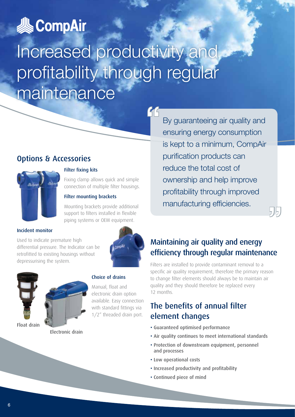

# Increased productivity and profitability through regular maintenance

"<br>|<br>|

# Options & Accessories



# Filter fixing kits

Fixing clamp allows quick and simple connection of multiple filter housings.

### Filter mounting brackets

Mounting brackets provide additional support to filters installed in flexible piping systems or OEM equipment.

## Incident monitor

Used to indicate premature high differential pressure. The Indicator can be retrofitted to existing housings without depressurising the system.





Electronic drain

## Choice of drains

Manual, float and electronic drain option available. Easy connection with standard fittings via 1/2" threaded drain port.

By guaranteeing air quality and ensuring energy consumption is kept to a minimum, CompAir purification products can reduce the total cost of ownership and help improve profitability through improved manufacturing efficiencies.

# Maintaining air quality and energy efficiency through regular maintenance

515.

Filters are installed to provide contaminant removal to a specific air quality requirement, therefore the primary reason to change filter elements should always be to maintain air quality and they should therefore be replaced every 12 months.

# The benefits of annual filter element changes

- Guaranteed optimised performance
- Air quality continues to meet international standards
- Protection of downstream equipment, personnel and processes
- Low operational costs
- Increased productivity and profitability
- Continued piece of mind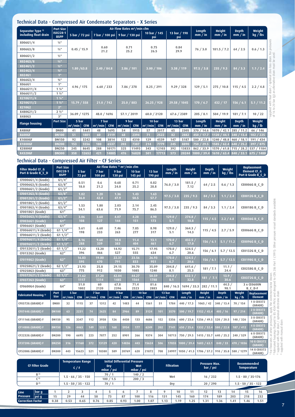### Technical Data - Compressed Air Condensate Separators - X Series

| Separator Type 3)     | Port Size                   | Air Flow Rates m <sup>3</sup> /min cfm |            |              |            |                                 |            |                     |            |                     |            |                   | <b>Height</b> | <b>Depth</b> | Weight     |  |
|-----------------------|-----------------------------|----------------------------------------|------------|--------------|------------|---------------------------------|------------|---------------------|------------|---------------------|------------|-------------------|---------------|--------------|------------|--|
| including float drain | ISO228-1<br><b>BSPP</b>     | 5 bar / 72 psi                         |            |              |            | 7 bar / 100 psi 9 bar / 130 psi |            | 10 bar / 145<br>psi |            | 13 bar / 190<br>psi |            | Length<br>mm / in | mm / in       | mm / in      | kg / lbs   |  |
| X006G1/4              | $1/4$ <sup>11</sup>         |                                        |            |              |            |                                 |            |                     |            |                     |            |                   |               |              |            |  |
| X006G3/8              | $3/8$ <sup>11</sup>         | 0.45 / 15.9                            |            | 0.60<br>21.2 |            | 0.71<br>25.2                    |            | 0.75<br>26.5        |            | 0.84<br>29.9        |            | 76/3.0            | 181.5 / 7.2   | 64/2.5       | 0.6 / 1.3  |  |
| X006G1/2              | $\frac{1}{2}$ <sup>11</sup> |                                        |            |              |            |                                 |            |                     |            |                     |            |                   |               |              |            |  |
| X024G3/8              | $3/8$ <sup>11</sup>         | 1.80 / 63.8                            |            |              |            |                                 |            |                     |            |                     |            |                   |               |              |            |  |
| X024G1/2              | $1/2$ <sup>11</sup>         |                                        |            | 2.40 / 84.8  |            | 2.86 / 101                      |            |                     |            | 3.38 / 119          |            |                   |               |              |            |  |
| X024G3/4              | $3/4$ <sup>11</sup>         |                                        |            |              |            |                                 |            | 3.00 / 106          |            |                     |            | $\sqrt{97.5}/3.8$ | 235 / 9.3     | 84 / 3.3     | 1.1 / 2.4  |  |
| X024G1                | 1"                          |                                        |            |              |            |                                 |            |                     |            |                     |            |                   |               |              |            |  |
| X066G3/4              | $3/4$ <sup>11</sup>         | 4.96 / 175                             |            |              |            |                                 |            |                     |            |                     |            | 275/10.8          |               |              |            |  |
| X066G1                | 1"                          |                                        |            | 6.60 / 233   |            | 7.86 / 278                      |            | 8.25 / 291          |            | 9.29 / 328          |            |                   |               | 115 / 4.5    |            |  |
| X066G11/4             | $1\frac{1}{4}$              |                                        |            |              |            |                                 |            |                     |            |                     |            |                   | 129/5.1       |              | 2.2 / 4.8  |  |
| X066G11/2             | $1\frac{1}{2}$              |                                        |            |              |            |                                 |            |                     |            |                     |            |                   |               |              |            |  |
| X210G11/4             | $1\frac{1}{4}$              |                                        |            |              |            |                                 |            |                     |            |                     |            |                   |               |              |            |  |
| X210G11/2             | $1\frac{1}{2}$              | 15.79 / 558                            |            | 21.0 / 742   |            | 25.0 / 883                      |            | 26.25 / 928         |            | 29.58 / 1045        |            | 170/6.7           | 432 / 17      | 156 / 6.1    | 5.1 / 11.2 |  |
| X210G2                | 2 <sup>m</sup>              |                                        |            |              |            |                                 |            |                     |            |                     |            |                   |               |              |            |  |
| X480G21/2             | $2\frac{1}{2}$              | 36.09 / 1275                           |            |              |            | 57.1 / 2019                     |            | 60.0 / 2120         |            | 67.6 / 2389         |            | 205 / 8.1         | 504 / 19.9    | 181 / 7.1    | 10/22      |  |
| X480G3                | 3"                          |                                        |            | 48.0 / 1696  |            |                                 |            |                     |            |                     |            |                   |               |              |            |  |
| <b>Flange housing</b> | <b>Port Size</b>            | 5 bar                                  |            | 7 bar        |            | 9 bar                           |            | 10 bar              |            | 13 bar              |            | Length            | <b>Height</b> | <b>Depth</b> | Weight     |  |
|                       |                             | $m^3/m$ in                             | <b>CFM</b> | $m^3/m$ in   | <b>CFM</b> | $m^3/m$ in                      | <b>CFM</b> | $m^3/m$ in          | <b>CFM</b> | $ m^3/m$ in $ $     | <b>CFM</b> | mm / in           | mm / in       | mm / in      | kg / lb    |  |
| <b>X480GF</b>         | <b>DN80</b>                 | 41                                     | 1441       | 48           | 1695       | 54                              | 1915       | 57                  | 2017       | 65                  | 2305       | 370 / 14.6        | 1070 / 42.1   | 285 / 11.2   | 66 / 146   |  |
| <b>X600GF</b>         | <b>DN100</b>                | 51                                     | 1801       | 60           | 2119       | 68                              | 2394       | 71                  | 2522       | 82                  | 2882       | 450 / 17.7        | 1120 / 44.1   | 13.4<br>340. | 102 / 225  |  |
| X1080GF               | <b>DN150</b>                | 92                                     | 3242       | 108          | 3814       | 122                             | 4310       | 129                 | 4539       | 147                 | 5187       | 580 / 22.8        | 1240 / 48.8   | 460 / 18.1   | 191 / 434  |  |
| <b>X1800GF</b>        | <b>DN200</b>                | 153                                    | 5556       | 180          | 6537       | 203                             | 7387       | 214                 | 7779       | 245                 | 8890       | 750 / 29.5        | 1585 / 62.4   | 640 / 25.2   | 397 / 875  |  |
| <b>X2880GF</b>        | <b>DN250</b>                | 245                                    | 8645       | 288          | 10171      | 325                             | 11493      | 343                 | 12103      | 392                 | 13833      | 862 / 33.9        | 1570 / 61.8   | 715 / 28.2   | 537 / 1184 |  |
| <b>X4320GF</b>        | <b>DN300</b>                | 358                                    | 12652      | 421          | 14885      | 476                             | 16820      | 501                 | 17713      | 573                 | 20244      | 1000 / 39.4       | 1610 / 63.4   | 840 / 33.1   | 675 / 1488 |  |
|                       |                             |                                        |            |              |            |                                 |            |                     |            |                     |            |                   |               |              |            |  |

## Technical Data - Compressed Air Filter - CF Series

|                                                                |                            | <b>Port Size</b>                 |                       |                      | Air Flow Rates <sup>1)</sup> m <sup>3</sup> /min cfm |                       |                              |                       |                       |                            |                                  |                                    |                          | <b>Replacement</b>                |                   |                                           |  |
|----------------------------------------------------------------|----------------------------|----------------------------------|-----------------------|----------------------|------------------------------------------------------|-----------------------|------------------------------|-----------------------|-----------------------|----------------------------|----------------------------------|------------------------------------|--------------------------|-----------------------------------|-------------------|-------------------------------------------|--|
| <b>Filter Model CF G</b><br>Port & Grade B C D                 |                            | ISO228-1<br><b>BSPP</b>          | 5 bar<br>72 psi       |                      | 7 bar<br>100 psi                                     | 9 bar<br>130 psi      |                              | 10 bar<br>145 psi     | 13 bar<br>190 psi     |                            | Length<br>mm / in                | <b>Height</b><br>mm / in           | <b>Depth</b><br>mm / in  | Weight<br>kg / lbs                |                   | <b>Element CF G</b><br>Port & Grade B C D |  |
| CF0006G1/4 (Grade)<br>CF0006G3/8 (Grade)<br>CF0006G1/2 (Grade) | G1/4''<br>G3/8''<br>G1/2'' |                                  | 0.51<br>18.0          |                      | 0.6<br>21.2                                          |                       | 0.68<br>0.71<br>24.0<br>25.2 |                       |                       | 0.82<br>76.0 / 3.0<br>28.8 |                                  | 181.5/<br>7.12                     |                          | 64 / 2.5<br>0.6 / 1.3             |                   | <b>CE0006G B C D</b>                      |  |
| CF0012G3/8 (Grade)<br>CF0012G1/2 (Grade)                       |                            | G3/8''<br>1.02<br>36.0<br>G1/2'' |                       |                      | 1.20<br>42.4                                         | 1.36<br>47.9          |                              | 1.43<br>50.5          | 1.63<br>57.7          |                            | 97.5 / 3.8                       | 235/9.3                            | 84/3.3                   | 1.1 / 2.4                         |                   | <b>CE0012G B C D</b>                      |  |
| CF0018G1/2 (Grade)<br>CF0018G3/4 (Grade)<br>CF0018G1 (Grade)   | G1/2''<br>G3/4''<br>G1''   |                                  | 1.53<br>54.1          |                      | 1.80<br>63.6                                         |                       | 2.03<br>2.14<br>71.9<br>75.7 |                       | 2.45<br>86.5          |                            | 97.5 / 3.8<br>235 / 9.3          |                                    | 84/3.3                   | 1.1 / 2.4                         |                   | <b>CE0018G B C D</b>                      |  |
| CF0036G3/4 (Grade)<br>CF0036G1 (Grade)                         |                            | G3/4''<br>G1''                   | 3.06<br>108           |                      | 3.60<br>127                                          | 4.07<br>144           |                              | 4.28<br>151           | 4.90<br>173           |                            | 129.0<br>274.8/<br>5.1<br>10.8   |                                    | 115 / 4.5                | 2.2 / 4.8                         |                   | <b>CE0036G B C D</b>                      |  |
| CF0066G1 (Grade)<br>CF0066G11/4 (Grade)<br>CF0066G11/2 (Grade) | G1''<br>G11/4''<br>G11/2'' |                                  | 5.61<br>198           |                      | 6.60<br>233                                          | 7.46<br>263           |                              | 7.85<br>277           | 8.98<br>317           |                            | 129.0 /<br>364.3/<br>5.1<br>14.3 |                                    | 115 / 4.5                | 2.7 / 5.9                         |                   | CE0066G B_C_D                             |  |
| CF0096G11/4 (Grade)<br>CF0096G11/2 (Grade)                     |                            | G11/4''<br>G11/2''               |                       | 8.16                 | 9.60<br>10.8<br>339<br>383                           |                       |                              | 11.4<br>404           | 13.1<br>461           |                            | 170.0 /<br>6.7                   | 432.5 /<br>17.0                    | 156 / 6.1                | 5.1 / 11.2                        |                   | <b>CE0096G B C D</b>                      |  |
| CF0132G11/2 (Grade)<br>CF0132G2 (Grade)                        |                            | G11/2''<br>G2''                  | 11.22<br>396          |                      | 13.20<br>466                                         | 14.92<br>527<br>22.37 |                              | 15.71<br>555          | 17.95<br>634          |                            | 170.0 /<br>6.7                   | 524.5/<br>20.6                     | 156 / 6.1                | 5.7 / 12.5                        |                   | CE0132G B_C_D                             |  |
| CF0198G2 (Grade)<br>CF0258G21/2 (Grade)                        |                            | G2''<br>G2 1/2''                 | 16.83<br>595<br>21.93 | 19.80<br>670<br>25.8 |                                                      | 791<br>29.15          |                              | 23.56<br>833<br>30.70 | 26.93<br>951<br>35.09 |                            | 170.0<br>6.7<br>204.8/           | 524.5/<br>20.6<br>641.6/           |                          | 5.7 / 12.5<br>156 / 6.1<br>11.1 / |                   | <b>CE0198G B C D</b>                      |  |
| CF0258G3 (Grade)                                               | G3''                       |                                  |                       | 775<br>912           |                                                      | 1030                  |                              | 1085                  | 1240                  |                            | 8.1                              | 25.3                               | 181 / 7.1                | 24.4                              |                   | CE0258G B C D                             |  |
| CF0372G21/2 (Grade)<br><b>CF0372G3 (Grade)</b>                 |                            | G2 1/2''<br>G3''                 | 31.62<br>1117         |                      | 37.20<br>1314                                        | 42.04<br>1485         |                              | 44.27<br>1564         | 50.59<br>1788         |                            | 204.8/<br>8.1                    | 832.1<br>32.8                      | 181 / 7.1                | 13.9/<br>30.6                     |                   | <b>CE0372G B C D</b>                      |  |
| CF0600G4 (Grade)                                               | G4''                       |                                  | 51.0<br>1802          |                      | 60<br>2120                                           | 67.8<br>2396          |                              | 71.4<br>2523          | 81.6<br>2883          |                            | 840 / 16.5                       | 1694 / 33.3                        | 282 / 11.1               | 44.5/<br>98.1                     |                   | 3 x CE0600N<br>B C D-F                    |  |
| Fabricated Housing <sup>2)</sup>                               | Port<br><b>Size</b>        | 5 bar<br>$m^3/m$ in              | <b>CFM</b>            | 7 bar<br>$m^3/m$ in  | <b>CFM</b>                                           | 9 bar<br>$m^3/m$ in   | <b>CFM</b>                   | 10 bar<br>$m^3/m$ in  | <b>CFM</b>            | $m^3/m$ in                 | 13 bar<br><b>CFM</b>             | Length<br>mm / in                  | <b>Height</b><br>mm / in | <b>Depth</b><br>mm / in           | Weight<br>kg / lb | <b>Replacement</b><br><b>Element</b>      |  |
| CF0372G (GRADE) F                                              | <b>DN80</b>                | 32                               | 1115                  | 37                   | 1312                                                 | 42                    | 1483                         | 44                    | 1561                  | 51                         | 1784                             | 440 / 17.3                         | 1065 / 42                | 340 / 13.4                        | 70 / 154          | 1 X CE0372<br>(GRADE)                     |  |
| CF0744G (GRADE) F                                              | <b>DN100</b>               | 63                               | 2231                  | 74                   | 2625                                                 | 84                    | 2966                         | 89                    | 3124<br>101           |                            | 3570                             | 500 / 19.7                         | 1152 / 45.4              | 405 / 16                          | 97/214            | 2 X CE0372<br>(GRADE)                     |  |
| CF1116G (GRADE) F                                              | <b>DN150</b>               | 95                               | 3347                  | 112                  | 3938                                                 | 126                   | 4450                         | 133                   | 4686                  | 152                        | 5356                             | 600 / 23.6                         | 1256 / 49.5              | 520 / 20.5                        | 148 / 326         | 3 X CE0372<br>(GRADE)                     |  |
| CF1488G (GRADE) F                                              | <b>DN150</b>               | 126                              | 4463                  | 149                  | 5251                                                 | 168                   | 5934                         | 177                   | 6249                  | 202                        | 7141                             | 650 / 25.6                         | 1332 / 52.4              | 580 / 22.8                        | 187 / 412         | <b>4 X CE0372</b><br>(GRADE)              |  |
| CF2232G (GRADE) F                                              | <b>DN200</b>               | 190                              | 6695                  | 223                  | 7877                                                 | 252                   | 8901                         | 266                   | 9374                  | 304                        | 10713                            | 750 / 29.5                         | 1415 / 55.7              | 640 / 25.2                        | 240 / 529         | 6 X CE0372<br>(GRADE)                     |  |
| CF3720G (GRADE) F                                              | <b>DN250</b>               | 316                              | 11160                 | 372                  | 13129                                                | 420                   | 14836                        | 443                   | 15624                 | 506                        | 17855                            | 1000 / 39.4                        | 1603 / 63.1              | 840 / 33                          | 470 / 1036        | 10 X CE0372<br>(GRADE)                    |  |
| CF5208G (GRADE) F                                              | <b>DN300</b>               | 443                              | 15623                 | 521                  | 18380                                                | 589                   | 20769                        | 620                   | 21872                 | 708                        | 24997                            | 1050 / 41.3 1706 / 57.2 910 / 35.8 |                          |                                   | 580 / 1279        | 14 X CE0372<br>(GRADE)                    |  |

| <b>CF Filter Grade</b>           |               |    | <b>Temperature Range</b><br>C/F |                       | <b>Initial Differential Pressure</b><br>Wet<br>Dry<br>mbar / $psi$<br>mbar / psi |           |      |       |      | <b>Filtration</b> |      | Pressure Max.<br>bar /psi |          |      | Recommended<br><b>Temperature</b> |                       |      |  |
|----------------------------------|---------------|----|---------------------------------|-----------------------|----------------------------------------------------------------------------------|-----------|------|-------|------|-------------------|------|---------------------------|----------|------|-----------------------------------|-----------------------|------|--|
| $B^{3)}$                         |               |    |                                 | $1.5 - 66 / 35 - 150$ |                                                                                  | 70/1      |      | 140/2 |      |                   | Wet  |                           | 16 / 232 |      |                                   | $1.5 - 80 / 35 - 176$ |      |  |
| (3)                              |               |    |                                 |                       |                                                                                  | 100 / 1.5 |      | 200/3 |      |                   |      |                           |          |      |                                   |                       |      |  |
| D <sup>4</sup>                   |               |    |                                 | $1.5 - 50 / 35 - 122$ |                                                                                  | 70/1      |      |       |      | Drv               |      |                           | 20/290   |      |                                   | $1.5 - 50 / 35 - 122$ |      |  |
|                                  |               |    |                                 |                       |                                                                                  |           |      |       |      |                   |      |                           |          |      |                                   |                       |      |  |
| Line <sup>1</sup>                | $\vert$ bar g |    |                                 |                       | 4                                                                                |           | 6    |       | 8    |                   | 10   | 11                        | 12       | 13   | 14                                | 15                    | 16   |  |
| Pressure                         | $ $ psig      | 15 | 29                              | 44                    | 58                                                                               | 73        | 87   | 100   | 116  | 131               | 145  | 160                       | 174      | 189  | 203                               | 218                   | 232  |  |
| <b>Correction Factor</b><br>0.38 |               |    | 0.53                            | 0.65                  | 0.76                                                                             | 0.85      | 0.93 | 1.00  | 1.07 | 1.13              | 1.19 | 1.25                      | 1.31     | 1.36 | 1.41                              | 1.46                  | 1.51 |  |

supplied with float drain / optional Zero loss drain. For pressures of 16 to 20 bar (g) an alternative drain must be used. 1) supplied with float drain / optional Zero loss drain. For pressures of 16 to 20 bar (g) an alternative drain must be used.